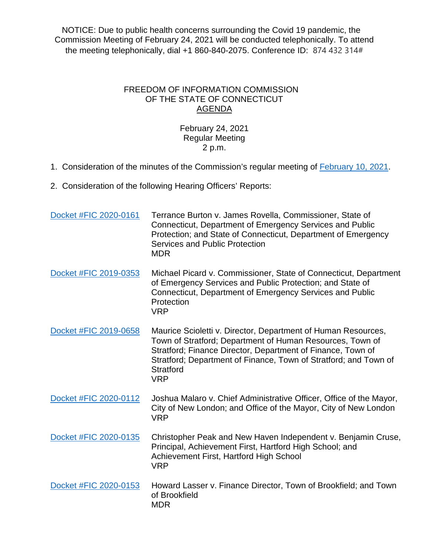NOTICE: Due to public health concerns surrounding the Covid 19 pandemic, the Commission Meeting of February 24, 2021 will be conducted telephonically. To attend the meeting telephonically, dial +1 860-840-2075. Conference ID: 874 432 314#

## FREEDOM OF INFORMATION COMMISSION OF THE STATE OF CONNECTICUT AGENDA

## February 24, 2021 Regular Meeting 2 p.m.

- 1. Consideration of the minutes of the Commission's regular meeting of [February 10, 2021.](https://portal.ct.gov/-/media/FOI/Minutes/2021/Minutes-2-10-2021b.pdf)
- 2. Consideration of the following Hearing Officers' Reports:

| Docket #FIC 2020-0161 | Terrance Burton v. James Rovella, Commissioner, State of<br>Connecticut, Department of Emergency Services and Public<br>Protection; and State of Connecticut, Department of Emergency<br>Services and Public Protection<br><b>MDR</b>                                                           |
|-----------------------|-------------------------------------------------------------------------------------------------------------------------------------------------------------------------------------------------------------------------------------------------------------------------------------------------|
| Docket #FIC 2019-0353 | Michael Picard v. Commissioner, State of Connecticut, Department<br>of Emergency Services and Public Protection; and State of<br>Connecticut, Department of Emergency Services and Public<br>Protection<br><b>VRP</b>                                                                           |
| Docket #FIC 2019-0658 | Maurice Scioletti v. Director, Department of Human Resources,<br>Town of Stratford; Department of Human Resources, Town of<br>Stratford; Finance Director, Department of Finance, Town of<br>Stratford; Department of Finance, Town of Stratford; and Town of<br><b>Stratford</b><br><b>VRP</b> |
| Docket #FIC 2020-0112 | Joshua Malaro v. Chief Administrative Officer, Office of the Mayor,<br>City of New London; and Office of the Mayor, City of New London<br><b>VRP</b>                                                                                                                                            |
| Docket #FIC 2020-0135 | Christopher Peak and New Haven Independent v. Benjamin Cruse,<br>Principal, Achievement First, Hartford High School; and<br>Achievement First, Hartford High School<br><b>VRP</b>                                                                                                               |
| Docket #FIC 2020-0153 | Howard Lasser v. Finance Director, Town of Brookfield; and Town<br>of Brookfield<br><b>MDR</b>                                                                                                                                                                                                  |